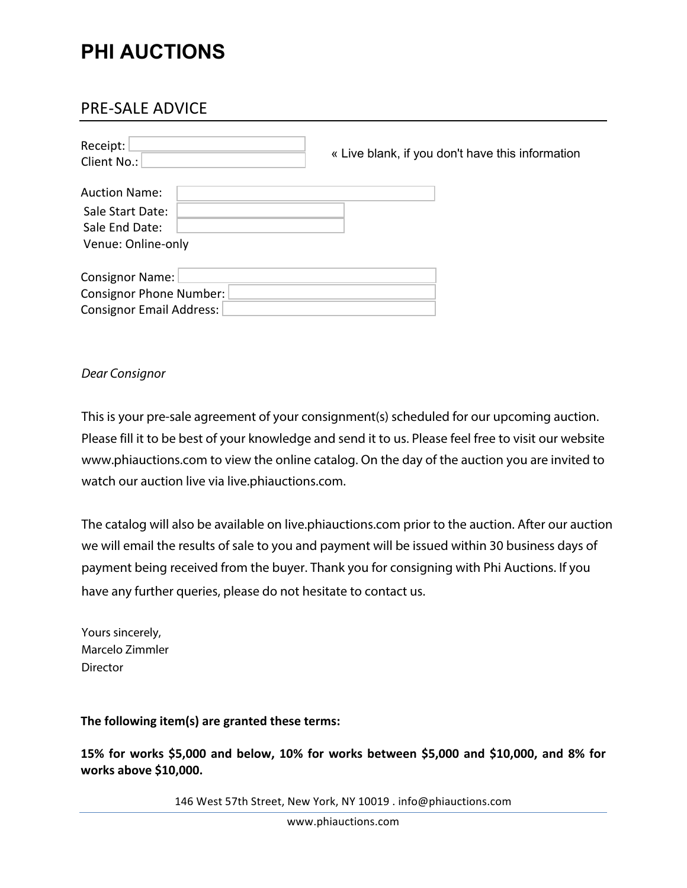# **PHI AUCTIONS**

## PRE-SALE ADVICE

| Receipt:<br>Client No.:         | « Live blank, if you don't have this information |
|---------------------------------|--------------------------------------------------|
| <b>Auction Name:</b>            |                                                  |
| Sale Start Date:                |                                                  |
| Sale End Date:                  |                                                  |
| Venue: Online-only              |                                                  |
|                                 |                                                  |
| <b>Consignor Name:</b>          |                                                  |
| <b>Consignor Phone Number:</b>  |                                                  |
| <b>Consignor Email Address:</b> |                                                  |

### Dear Consignor

This is your pre-sale agreement of your consignment(s) scheduled for our upcoming auction. Please fill it to be best of your knowledge and send it to us. Please feel free to visit our website www.phiauctions.com to view the online catalog. On the day of the auction you are invited to watch our auction live via live.phiauctions.com.

The catalog will also be available on live.phiauctions.com prior to the auction. After our auction we will email the results of sale to you and payment will be issued within 30 business days of payment being received from the buyer. Thank you for consigning with Phi Auctions. If you have any further queries, please do not hesitate to contact us.

Yours sincerely, Marcelo Zimmler Director

The following item(s) are granted these terms:

15% for works \$5,000 and below, 10% for works between \$5,000 and \$10,000, and 8% for **works above \$10,000.** 

146 West 57th Street, New York, NY 10019 . info@phiauctions.com